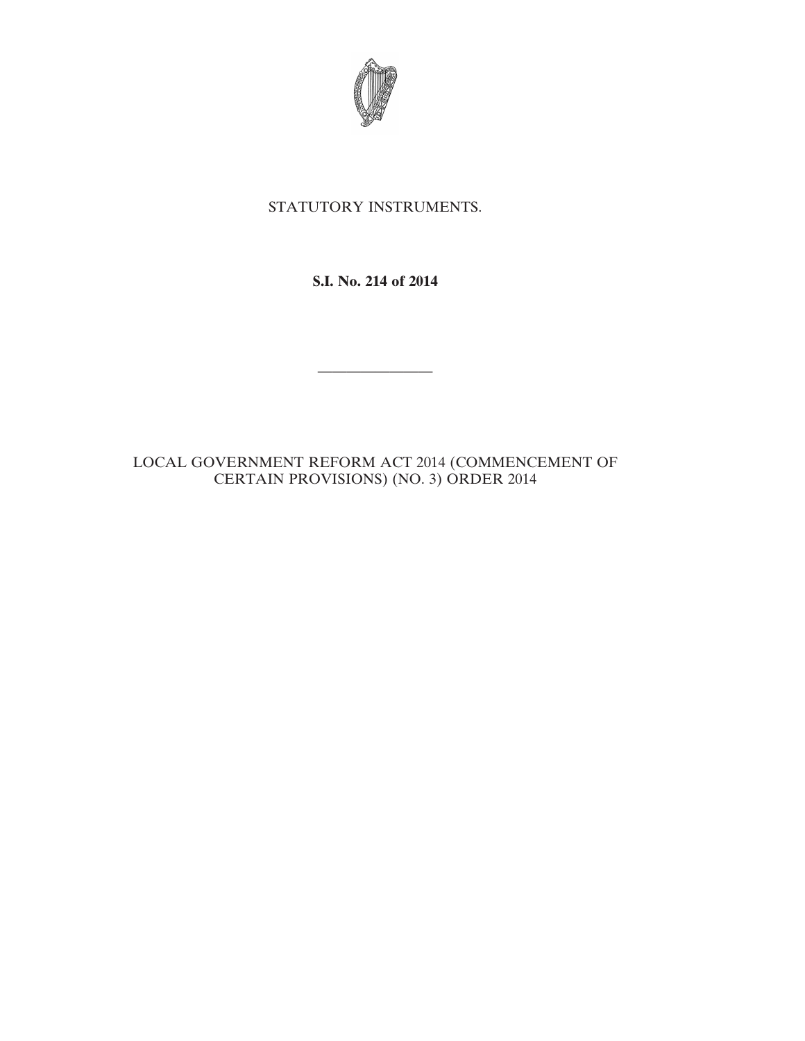

# STATUTORY INSTRUMENTS.

## **S.I. No. 214 of 2014**

————————

### LOCAL GOVERNMENT REFORM ACT 2014 (COMMENCEMENT OF CERTAIN PROVISIONS) (NO. 3) ORDER 2014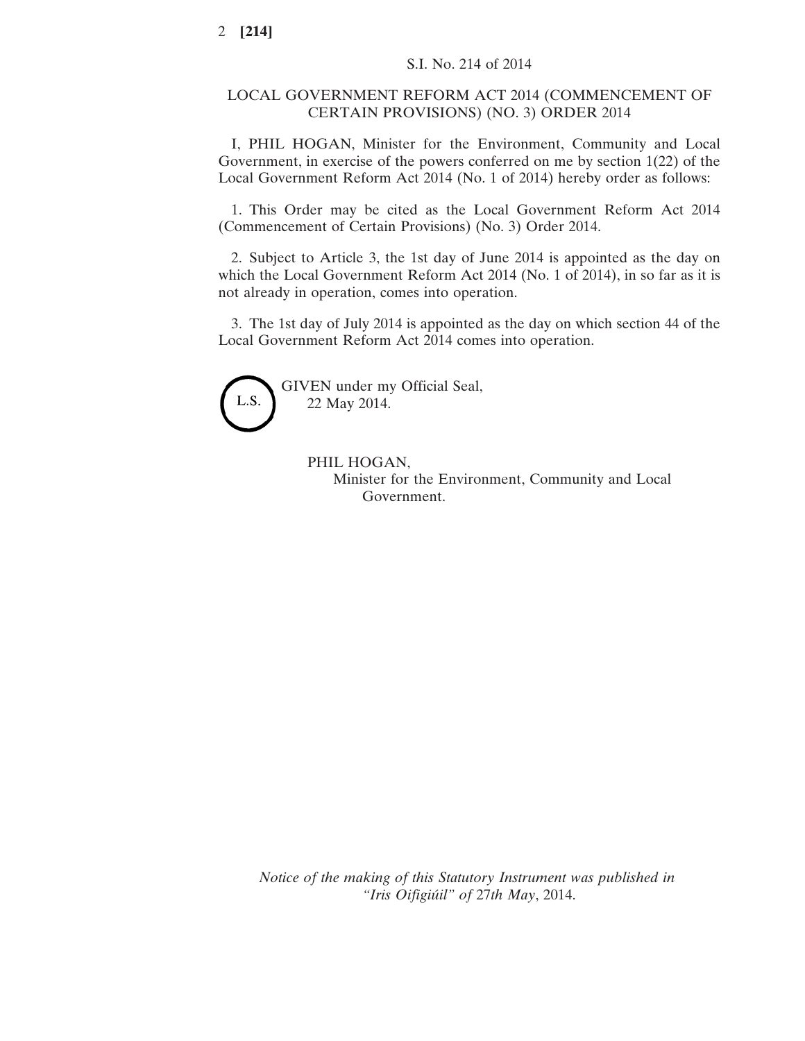### LOCAL GOVERNMENT REFORM ACT 2014 (COMMENCEMENT OF CERTAIN PROVISIONS) (NO. 3) ORDER 2014

I, PHIL HOGAN, Minister for the Environment, Community and Local Government, in exercise of the powers conferred on me by section 1(22) of the Local Government Reform Act 2014 (No. 1 of 2014) hereby order as follows:

1. This Order may be cited as the Local Government Reform Act 2014 (Commencement of Certain Provisions) (No. 3) Order 2014.

2. Subject to Article 3, the 1st day of June 2014 is appointed as the day on which the Local Government Reform Act 2014 (No. 1 of 2014), in so far as it is not already in operation, comes into operation.

3. The 1st day of July 2014 is appointed as the day on which section 44 of the Local Government Reform Act 2014 comes into operation.



GIVEN under my Official Seal, 22 May 2014.

> PHIL HOGAN, Minister for the Environment, Community and Local Government.

*Notice of the making of this Statutory Instrument was published in "Iris Oifigiúil" of* 27*th May*, 2014.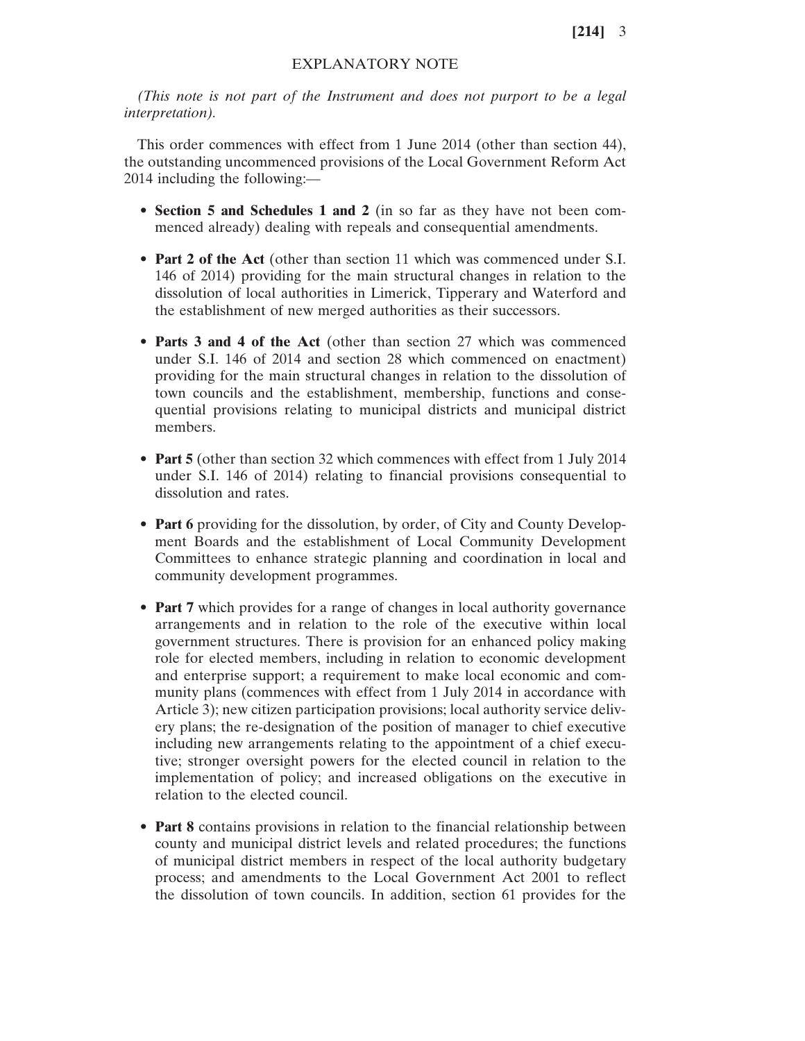**[214]** 3

### EXPLANATORY NOTE

*(This note is not part of the Instrument and does not purport to be a legal interpretation).*

This order commences with effect from 1 June 2014 (other than section 44), the outstanding uncommenced provisions of the Local Government Reform Act 2014 including the following:—

- **Section 5 and Schedules 1 and 2** (in so far as they have not been commenced already) dealing with repeals and consequential amendments.
- **Part 2 of the Act** (other than section 11 which was commenced under S.I. 146 of 2014) providing for the main structural changes in relation to the dissolution of local authorities in Limerick, Tipperary and Waterford and the establishment of new merged authorities as their successors.
- **Parts 3 and 4 of the Act** (other than section 27 which was commenced under S.I. 146 of 2014 and section 28 which commenced on enactment) providing for the main structural changes in relation to the dissolution of town councils and the establishment, membership, functions and consequential provisions relating to municipal districts and municipal district members.
- **Part 5** (other than section 32 which commences with effect from 1 July 2014 under S.I. 146 of 2014) relating to financial provisions consequential to dissolution and rates.
- **Part 6** providing for the dissolution, by order, of City and County Development Boards and the establishment of Local Community Development Committees to enhance strategic planning and coordination in local and community development programmes.
- **Part 7** which provides for a range of changes in local authority governance arrangements and in relation to the role of the executive within local government structures. There is provision for an enhanced policy making role for elected members, including in relation to economic development and enterprise support; a requirement to make local economic and community plans (commences with effect from 1 July 2014 in accordance with Article 3); new citizen participation provisions; local authority service delivery plans; the re-designation of the position of manager to chief executive including new arrangements relating to the appointment of a chief executive; stronger oversight powers for the elected council in relation to the implementation of policy; and increased obligations on the executive in relation to the elected council.
- **Part 8** contains provisions in relation to the financial relationship between county and municipal district levels and related procedures; the functions of municipal district members in respect of the local authority budgetary process; and amendments to the Local Government Act 2001 to reflect the dissolution of town councils. In addition, section 61 provides for the